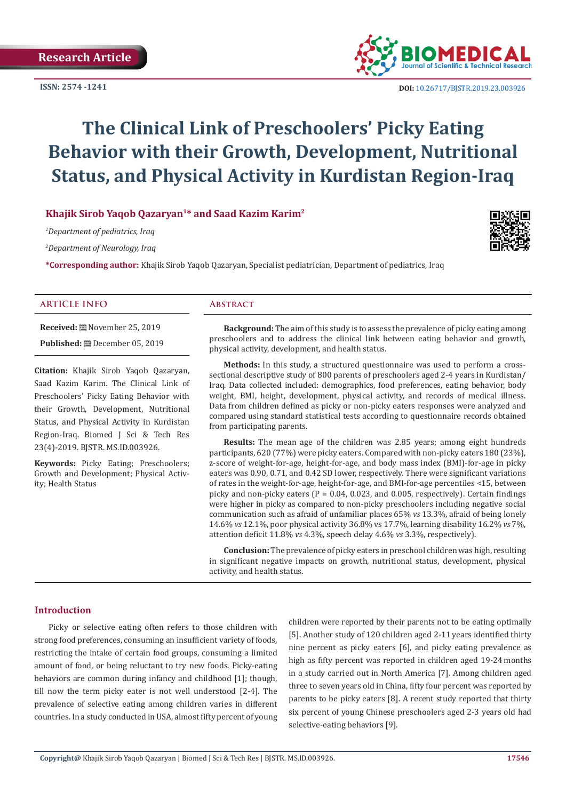**ISSN: 2574 -1241**



 **DOI:** [10.26717/BJSTR.2019.23.0039](http://dx.doi.org/10.26717/BJSTR.2019.23.003926)26

# **The Clinical Link of Preschoolers' Picky Eating Behavior with their Growth, Development, Nutritional Status, and Physical Activity in Kurdistan Region-Iraq**

# **Khajik Sirob Yaqob Qazaryan1\* and Saad Kazim Karim2**

*1 Department of pediatrics, Iraq*

*2 Department of Neurology, Iraq*

**\*Corresponding author:** Khajik Sirob Yaqob Qazaryan, Specialist pediatrician, Department of pediatrics, Iraq

#### **ARTICLE INFO Abstract**

**Received:** November 25, 2019 **Published:** December 05, 2019

**Citation:** Khajik Sirob Yaqob Qazaryan, Saad Kazim Karim. The Clinical Link of Preschoolers' Picky Eating Behavior with their Growth, Development, Nutritional Status, and Physical Activity in Kurdistan Region-Iraq. Biomed J Sci & Tech Res 23(4)-2019. BJSTR. MS.ID.003926.

**Keywords:** Picky Eating; Preschoolers; Growth and Development; Physical Activity; Health Status

**Background:** The aim of this study is to assess the prevalence of picky eating among preschoolers and to address the clinical link between eating behavior and growth, physical activity, development, and health status.

**Methods:** In this study, a structured questionnaire was used to perform a crosssectional descriptive study of 800 parents of preschoolers aged 2-4 years in Kurdistan/ Iraq. Data collected included: demographics, food preferences, eating behavior, body weight, BMI, height, development, physical activity, and records of medical illness. Data from children defined as picky or non-picky eaters responses were analyzed and compared using standard statistical tests according to questionnaire records obtained from participating parents.

**Results:** The mean age of the children was 2.85 years; among eight hundreds participants, 620 (77%) were picky eaters. Compared with non-picky eaters 180 (23%), z-score of weight-for-age, height-for-age, and body mass index (BMI)-for-age in picky eaters was 0.90, 0.71, and 0.42 SD lower, respectively. There were significant variations of rates in the weight-for-age, height-for-age, and BMI-for-age percentiles <15, between picky and non-picky eaters ( $P = 0.04$ , 0.023, and 0.005, respectively). Certain findings were higher in picky as compared to non-picky preschoolers including negative social communication such as afraid of unfamiliar places 65% *vs* 13.3%, afraid of being lonely 14.6% *vs* 12.1%, poor physical activity 36.8% vs 17.7%, learning disability 16.2% *vs* 7%, attention deficit 11.8% *vs* 4.3%, speech delay 4.6% *vs* 3.3%, respectively).

**Conclusion:** The prevalence of picky eaters in preschool children was high, resulting in significant negative impacts on growth, nutritional status, development, physical activity, and health status.

#### **Introduction**

Picky or selective eating often refers to those children with strong food preferences, consuming an insufficient variety of foods, restricting the intake of certain food groups, consuming a limited amount of food, or being reluctant to try new foods. Picky-eating behaviors are common during infancy and childhood [1]; though, till now the term picky eater is not well understood [2-4]. The prevalence of selective eating among children varies in different countries. In a study conducted in USA, almost fifty percent of young children were reported by their parents not to be eating optimally [5]. Another study of 120 children aged 2-11 years identified thirty nine percent as picky eaters [6], and picky eating prevalence as high as fifty percent was reported in children aged 19-24 months in a study carried out in North America [7]. Among children aged three to seven years old in China, fifty four percent was reported by parents to be picky eaters [8]. A recent study reported that thirty six percent of young Chinese preschoolers aged 2-3 years old had selective-eating behaviors [9].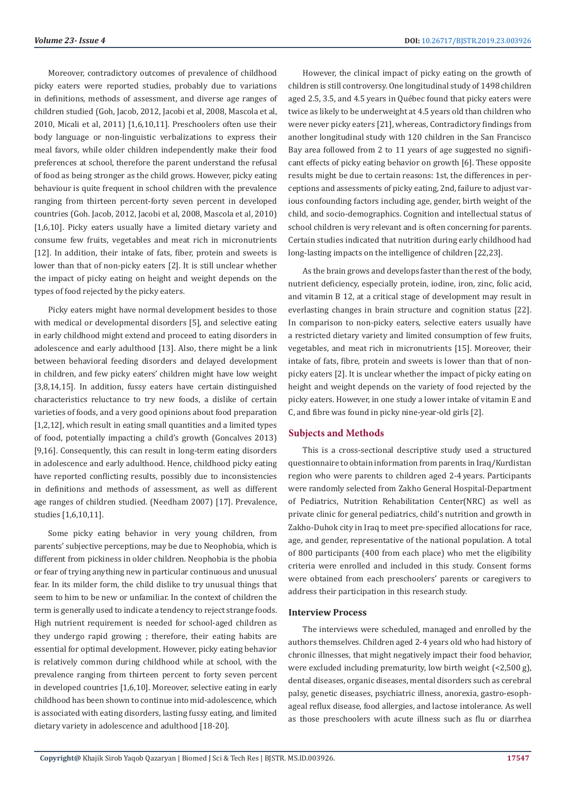Moreover, contradictory outcomes of prevalence of childhood picky eaters were reported studies, probably due to variations in definitions, methods of assessment, and diverse age ranges of children studied (Goh, Jacob, 2012, Jacobi et al, 2008, Mascola et al, 2010, Micali et al, 2011) [1,6,10,11]. Preschoolers often use their body language or non-linguistic verbalizations to express their meal favors, while older children independently make their food preferences at school, therefore the parent understand the refusal of food as being stronger as the child grows. However, picky eating behaviour is quite frequent in school children with the prevalence ranging from thirteen percent-forty seven percent in developed countries (Goh. Jacob, 2012, Jacobi et al, 2008, Mascola et al, 2010) [1,6,10]. Picky eaters usually have a limited dietary variety and consume few fruits, vegetables and meat rich in micronutrients [12]. In addition, their intake of fats, fiber, protein and sweets is lower than that of non-picky eaters [2]. It is still unclear whether the impact of picky eating on height and weight depends on the types of food rejected by the picky eaters.

Picky eaters might have normal development besides to those with medical or developmental disorders [5], and selective eating in early childhood might extend and proceed to eating disorders in adolescence and early adulthood [13]. Also, there might be a link between behavioral feeding disorders and delayed development in children, and few picky eaters' children might have low weight [3,8,14,15]. In addition, fussy eaters have certain distinguished characteristics reluctance to try new foods, a dislike of certain varieties of foods, and a very good opinions about food preparation [1,2,12], which result in eating small quantities and a limited types of food, potentially impacting a child's growth (Goncalves 2013) [9,16]. Consequently, this can result in long-term eating disorders in adolescence and early adulthood. Hence, childhood picky eating have reported conflicting results, possibly due to inconsistencies in definitions and methods of assessment, as well as different age ranges of children studied. (Needham 2007) [17]. Prevalence, studies [1,6,10,11].

Some picky eating behavior in very young children, from parents' subjective perceptions, may be due to Neophobia, which is different from pickiness in older children. Neophobia is the phobia or fear of trying anything new in particular continuous and unusual fear. In its milder form, the child dislike to try unusual things that seem to him to be new or unfamiliar. In the context of children the term is generally used to indicate a tendency to reject strange foods. High nutrient requirement is needed for school-aged children as they undergo rapid growing ; therefore, their eating habits are essential for optimal development. However, picky eating behavior is relatively common during childhood while at school, with the prevalence ranging from thirteen percent to forty seven percent in developed countries [1,6,10]. Moreover, selective eating in early childhood has been shown to continue into mid-adolescence, which is associated with eating disorders, lasting fussy eating, and limited dietary variety in adolescence and adulthood [18-20].

However, the clinical impact of picky eating on the growth of children is still controversy. One longitudinal study of 1498 children aged 2.5, 3.5, and 4.5 years in Québec found that picky eaters were twice as likely to be underweight at 4.5 years old than children who were never picky eaters [21], whereas, Contradictory findings from another longitudinal study with 120 children in the San Francisco Bay area followed from 2 to 11 years of age suggested no significant effects of picky eating behavior on growth [6]. These opposite results might be due to certain reasons: 1st, the differences in perceptions and assessments of picky eating, 2nd, failure to adjust various confounding factors including age, gender, birth weight of the child, and socio-demographics. Cognition and intellectual status of school children is very relevant and is often concerning for parents. Certain studies indicated that nutrition during early childhood had long-lasting impacts on the intelligence of children [22,23].

As the brain grows and develops faster than the rest of the body, nutrient deficiency, especially protein, iodine, iron, zinc, folic acid, and vitamin B 12, at a critical stage of development may result in everlasting changes in brain structure and cognition status [22]. In comparison to non-picky eaters, selective eaters usually have a restricted dietary variety and limited consumption of few fruits, vegetables, and meat rich in micronutrients [15]. Moreover, their intake of fats, fibre, protein and sweets is lower than that of nonpicky eaters [2]. It is unclear whether the impact of picky eating on height and weight depends on the variety of food rejected by the picky eaters. However, in one study a lower intake of vitamin E and C, and fibre was found in picky nine-year-old girls [2].

# **Subjects and Methods**

This is a cross-sectional descriptive study used a structured questionnaire to obtain information from parents in Iraq/Kurdistan region who were parents to children aged 2-4 years. Participants were randomly selected from Zakho General Hospital-Department of Pediatrics, Nutrition Rehabilitation Center(NRC) as well as private clinic for general pediatrics, child's nutrition and growth in Zakho-Duhok city in Iraq to meet pre-specified allocations for race, age, and gender, representative of the national population. A total of 800 participants (400 from each place) who met the eligibility criteria were enrolled and included in this study. Consent forms were obtained from each preschoolers' parents or caregivers to address their participation in this research study.

#### **Interview Process**

The interviews were scheduled, managed and enrolled by the authors themselves. Children aged 2-4 years old who had history of chronic illnesses, that might negatively impact their food behavior, were excluded including prematurity, low birth weight (<2,500 g), dental diseases, organic diseases, mental disorders such as cerebral palsy, genetic diseases, psychiatric illness, anorexia, gastro-esophageal reflux disease, food allergies, and lactose intolerance. As well as those preschoolers with acute illness such as flu or diarrhea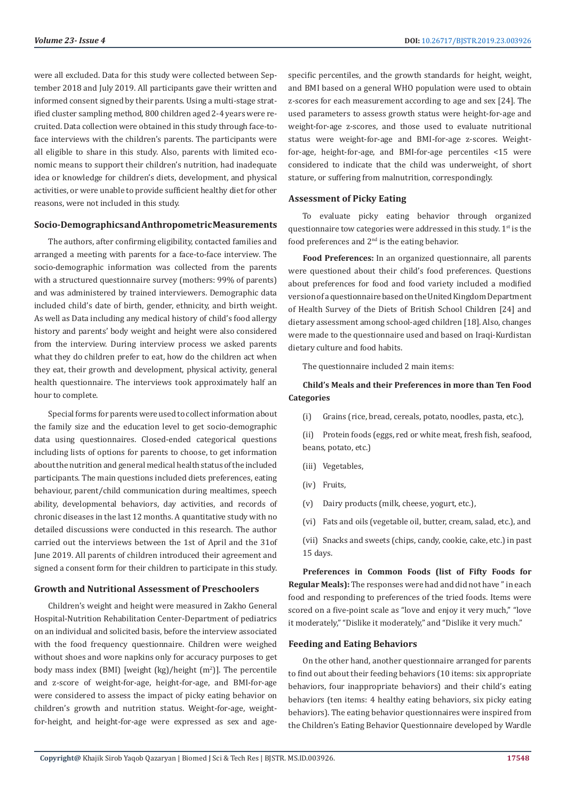were all excluded. Data for this study were collected between September 2018 and July 2019. All participants gave their written and informed consent signed by their parents. Using a multi-stage stratified cluster sampling method, 800 children aged 2-4 years were recruited. Data collection were obtained in this study through face-toface interviews with the children's parents. The participants were all eligible to share in this study. Also, parents with limited economic means to support their children's nutrition, had inadequate idea or knowledge for children's diets, development, and physical activities, or were unable to provide sufficient healthy diet for other reasons, were not included in this study.

# **Socio-Demographics and Anthropometric Measurements**

The authors, after confirming eligibility, contacted families and arranged a meeting with parents for a face-to-face interview. The socio-demographic information was collected from the parents with a structured questionnaire survey (mothers: 99% of parents) and was administered by trained interviewers. Demographic data included child's date of birth, gender, ethnicity, and birth weight. As well as Data including any medical history of child's food allergy history and parents' body weight and height were also considered from the interview. During interview process we asked parents what they do children prefer to eat, how do the children act when they eat, their growth and development, physical activity, general health questionnaire. The interviews took approximately half an hour to complete.

Special forms for parents were used to collect information about the family size and the education level to get socio-demographic data using questionnaires. Closed-ended categorical questions including lists of options for parents to choose, to get information about the nutrition and general medical health status of the included participants. The main questions included diets preferences, eating behaviour, parent/child communication during mealtimes, speech ability, developmental behaviors, day activities, and records of chronic diseases in the last 12 months. A quantitative study with no detailed discussions were conducted in this research. The author carried out the interviews between the 1st of April and the 31of June 2019. All parents of children introduced their agreement and signed a consent form for their children to participate in this study.

#### **Growth and Nutritional Assessment of Preschoolers**

Children's weight and height were measured in Zakho General Hospital-Nutrition Rehabilitation Center-Department of pediatrics on an individual and solicited basis, before the interview associated with the food frequency questionnaire. Children were weighed without shoes and wore napkins only for accuracy purposes to get body mass index (BMI) [weight  $(kg)/$ height  $(m<sup>2</sup>)$ ]. The percentile and z-score of weight-for-age, height-for-age, and BMI-for-age were considered to assess the impact of picky eating behavior on children's growth and nutrition status. Weight-for-age, weightfor-height, and height-for-age were expressed as sex and agespecific percentiles, and the growth standards for height, weight, and BMI based on a general WHO population were used to obtain z-scores for each measurement according to age and sex [24]. The used parameters to assess growth status were height-for-age and weight-for-age z-scores, and those used to evaluate nutritional status were weight-for-age and BMI-for-age z-scores. Weightfor-age, height-for-age, and BMI-for-age percentiles <15 were considered to indicate that the child was underweight, of short stature, or suffering from malnutrition, correspondingly.

#### **Assessment of Picky Eating**

To evaluate picky eating behavior through organized questionnaire tow categories were addressed in this study.  $1<sup>st</sup>$  is the food preferences and  $2<sup>nd</sup>$  is the eating behavior.

**Food Preferences:** In an organized questionnaire, all parents were questioned about their child's food preferences. Questions about preferences for food and food variety included a modified version of a questionnaire based on the United Kingdom Department of Health Survey of the Diets of British School Children [24] and dietary assessment among school-aged children [18]. Also, changes were made to the questionnaire used and based on Iraqi-Kurdistan dietary culture and food habits.

The questionnaire included 2 main items:

# **Child's Meals and their Preferences in more than Ten Food Categories**

(i) Grains (rice, bread, cereals, potato, noodles, pasta, etc.),

(ii) Protein foods (eggs, red or white meat, fresh fish, seafood, beans, potato, etc.)

- (iii) Vegetables,
- (iv) Fruits,
- (v) Dairy products (milk, cheese, yogurt, etc.),
- (vi) Fats and oils (vegetable oil, butter, cream, salad, etc.), and
- (vii) Snacks and sweets (chips, candy, cookie, cake, etc.) in past 15 days.

**Preferences in Common Foods (list of Fifty Foods for Regular Meals):** The responses were had and did not have " in each food and responding to preferences of the tried foods. Items were scored on a five-point scale as "love and enjoy it very much," "love it moderately," "Dislike it moderately," and "Dislike it very much."

#### **Feeding and Eating Behaviors**

On the other hand, another questionnaire arranged for parents to find out about their feeding behaviors (10 items: six appropriate behaviors, four inappropriate behaviors) and their child's eating behaviors (ten items: 4 healthy eating behaviors, six picky eating behaviors). The eating behavior questionnaires were inspired from the Children's Eating Behavior Questionnaire developed by Wardle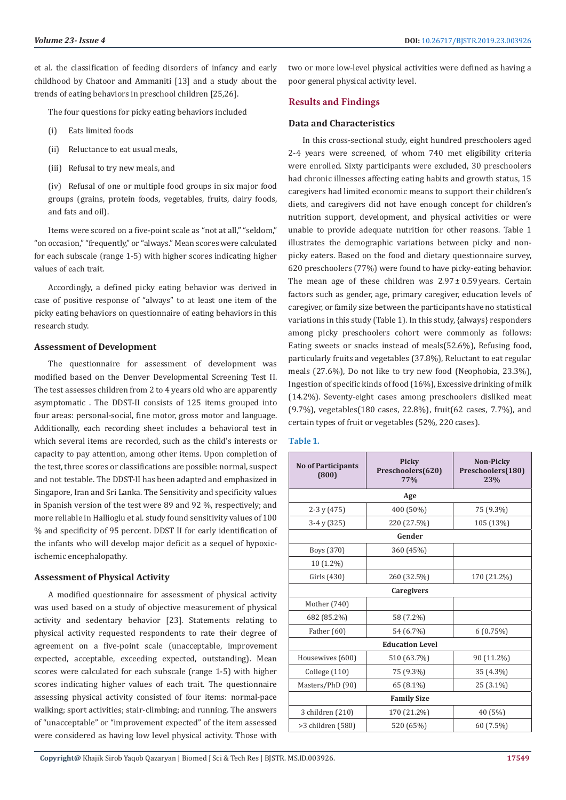et al. the classification of feeding disorders of infancy and early childhood by Chatoor and Ammaniti [13] and a study about the trends of eating behaviors in preschool children [25,26].

The four questions for picky eating behaviors included

- (i) Eats limited foods
- (ii) Reluctance to eat usual meals,
- (iii) Refusal to try new meals, and

(iv) Refusal of one or multiple food groups in six major food groups (grains, protein foods, vegetables, fruits, dairy foods, and fats and oil).

Items were scored on a five-point scale as "not at all," "seldom," "on occasion," "frequently," or "always." Mean scores were calculated for each subscale (range 1-5) with higher scores indicating higher values of each trait.

Accordingly, a defined picky eating behavior was derived in case of positive response of "always" to at least one item of the picky eating behaviors on questionnaire of eating behaviors in this research study.

### **Assessment of Development**

The questionnaire for assessment of development was modified based on the Denver Developmental Screening Test II. The test assesses children from 2 to 4 years old who are apparently asymptomatic . The DDST-II consists of 125 items grouped into four areas: personal-social, fine motor, gross motor and language. Additionally, each recording sheet includes a behavioral test in which several items are recorded, such as the child's interests or capacity to pay attention, among other items. Upon completion of the test, three scores or classifications are possible: normal, suspect and not testable. The DDST-II has been adapted and emphasized in Singapore, Iran and Sri Lanka. The Sensitivity and specificity values in Spanish version of the test were 89 and 92 %, respectively; and more reliable in Hallioglu et al. study found sensitivity values of 100 % and specificity of 95 percent. DDST II for early identification of the infants who will develop major deficit as a sequel of hypoxicischemic encephalopathy.

#### **Assessment of Physical Activity**

A modified questionnaire for assessment of physical activity was used based on a study of objective measurement of physical activity and sedentary behavior [23]. Statements relating to physical activity requested respondents to rate their degree of agreement on a five-point scale (unacceptable, improvement expected, acceptable, exceeding expected, outstanding). Mean scores were calculated for each subscale (range 1-5) with higher scores indicating higher values of each trait. The questionnaire assessing physical activity consisted of four items: normal-pace walking; sport activities; stair-climbing; and running. The answers of "unacceptable" or "improvement expected" of the item assessed were considered as having low level physical activity. Those with

two or more low-level physical activities were defined as having a poor general physical activity level.

# **Results and Findings**

# **Data and Characteristics**

In this cross-sectional study, eight hundred preschoolers aged 2-4 years were screened, of whom 740 met eligibility criteria were enrolled. Sixty participants were excluded, 30 preschoolers had chronic illnesses affecting eating habits and growth status, 15 caregivers had limited economic means to support their children's diets, and caregivers did not have enough concept for children's nutrition support, development, and physical activities or were unable to provide adequate nutrition for other reasons. Table 1 illustrates the demographic variations between picky and nonpicky eaters. Based on the food and dietary questionnaire survey, 620 preschoolers (77%) were found to have picky-eating behavior. The mean age of these children was  $2.97 \pm 0.59$  years. Certain factors such as gender, age, primary caregiver, education levels of caregiver, or family size between the participants have no statistical variations in this study (Table 1). In this study, {always} responders among picky preschoolers cohort were commonly as follows: Eating sweets or snacks instead of meals(52.6%), Refusing food, particularly fruits and vegetables (37.8%), Reluctant to eat regular meals (27.6%), Do not like to try new food (Neophobia, 23.3%), Ingestion of specific kinds of food (16%), Excessive drinking of milk (14.2%). Seventy-eight cases among preschoolers disliked meat (9.7%), vegetables(180 cases, 22.8%), fruit(62 cases, 7.7%), and certain types of fruit or vegetables (52%, 220 cases).

# **Table 1.**

| <b>No of Participants</b><br>(800) | <b>Picky</b><br>Preschoolers(620)<br><b>77%</b> | Non-Picky<br>Preschoolers(180)<br>23% |  |  |  |
|------------------------------------|-------------------------------------------------|---------------------------------------|--|--|--|
| Age                                |                                                 |                                       |  |  |  |
| $2-3y(475)$                        | 400 (50%)                                       | 75 (9.3%)                             |  |  |  |
| $3-4y(325)$                        | 220 (27.5%)                                     | 105 (13%)                             |  |  |  |
| Gender                             |                                                 |                                       |  |  |  |
| Boys (370)                         | 360 (45%)                                       |                                       |  |  |  |
| 10 (1.2%)                          |                                                 |                                       |  |  |  |
| Girls (430)                        | 260 (32.5%)                                     | 170 (21.2%)                           |  |  |  |
| <b>Caregivers</b>                  |                                                 |                                       |  |  |  |
| Mother (740)                       |                                                 |                                       |  |  |  |
| 682 (85.2%)                        | 58 (7.2%)                                       |                                       |  |  |  |
| Father (60)                        | 54 (6.7%)                                       | 6(0.75%)                              |  |  |  |
| <b>Education Level</b>             |                                                 |                                       |  |  |  |
| Housewives (600)                   | 510 (63.7%)                                     | 90 (11.2%)                            |  |  |  |
| College $(110)$                    | 75 (9.3%)                                       | 35 (4.3%)                             |  |  |  |
| Masters/PhD (90)                   | 65 (8.1%)                                       | 25 (3.1%)                             |  |  |  |
| <b>Family Size</b>                 |                                                 |                                       |  |  |  |
| 3 children (210)                   | 170 (21.2%)                                     | 40 (5%)                               |  |  |  |
| $>3$ children $(580)$              | 520 (65%)                                       | 60 (7.5%)                             |  |  |  |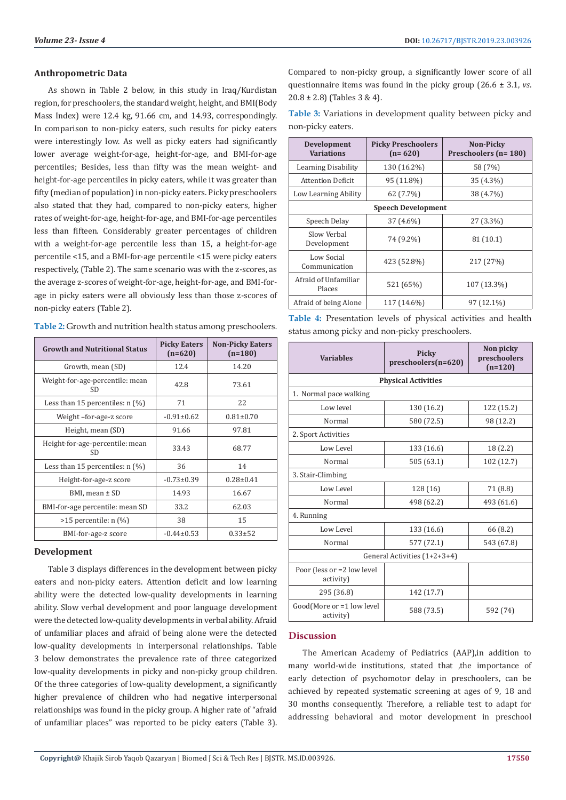#### **Volume 23- Issue 4 DOI: [10.26717/BJSTR.2019.23.0039](http://dx.doi.org/10.26717/BJSTR.2019.23.003926)26**

#### **Anthropometric Data**

As shown in Table 2 below, in this study in Iraq/Kurdistan region, for preschoolers, the standard weight, height, and BMI(Body Mass Index) were 12.4 kg, 91.66 cm, and 14.93, correspondingly. In comparison to non-picky eaters, such results for picky eaters were interestingly low. As well as picky eaters had significantly lower average weight-for-age, height-for-age, and BMI-for-age percentiles; Besides, less than fifty was the mean weight- and height-for-age percentiles in picky eaters, while it was greater than fifty (median of population) in non-picky eaters. Picky preschoolers also stated that they had, compared to non-picky eaters, higher rates of weight-for-age, height-for-age, and BMI-for-age percentiles less than fifteen. Considerably greater percentages of children with a weight-for-age percentile less than 15, a height-for-age percentile <15, and a BMI-for-age percentile <15 were picky eaters respectively, (Table 2). The same scenario was with the z-scores, as the average z-scores of weight-for-age, height-for-age, and BMI-forage in picky eaters were all obviously less than those z-scores of non-picky eaters (Table 2).

| Table 2: Growth and nutrition health status among preschoolers. |  |
|-----------------------------------------------------------------|--|
|-----------------------------------------------------------------|--|

| <b>Growth and Nutritional Status</b>         | <b>Picky Eaters</b><br>$(n=620)$ | <b>Non-Picky Eaters</b><br>$(n=180)$ |
|----------------------------------------------|----------------------------------|--------------------------------------|
| Growth, mean (SD)                            | 12.4                             | 14.20                                |
| Weight-for-age-percentile: mean<br><b>SD</b> | 42.8                             | 73.61                                |
| Less than 15 percentiles: $n$ (%)            | 71                               | 22                                   |
| Weight-for-age-z score                       | $-0.91 \pm 0.62$                 | $0.81 \pm 0.70$                      |
| Height, mean (SD)                            | 91.66                            | 97.81                                |
| Height-for-age-percentile: mean<br>SD        | 33.43                            | 68.77                                |
| Less than 15 percentiles: $n$ (%)            | 36                               | 14                                   |
| Height-for-age-z score                       | $-0.73 \pm 0.39$                 | $0.28 \pm 0.41$                      |
| BMI, mean ± SD                               | 14.93                            | 16.67                                |
| BMI-for-age percentile: mean SD              | 33.2                             | 62.03                                |
| $>15$ percentile: n $(\%)$                   | 38                               | 15                                   |
| BMI-for-age-z score                          | $-0.44\pm0.53$                   | $0.33 \pm 52$                        |

# **Development**

Table 3 displays differences in the development between picky eaters and non-picky eaters. Attention deficit and low learning ability were the detected low-quality developments in learning ability. Slow verbal development and poor language development were the detected low-quality developments in verbal ability. Afraid of unfamiliar places and afraid of being alone were the detected low-quality developments in interpersonal relationships. Table 3 below demonstrates the prevalence rate of three categorized low-quality developments in picky and non-picky group children. Of the three categories of low-quality development, a significantly higher prevalence of children who had negative interpersonal relationships was found in the picky group. A higher rate of "afraid of unfamiliar places" was reported to be picky eaters (Table 3).

Compared to non-picky group, a significantly lower score of all questionnaire items was found in the picky group (26.6 ± 3.1, *vs*.  $20.8 \pm 2.8$ ) (Tables 3 & 4).

**Table 3:** Variations in development quality between picky and non-picky eaters.

| Development<br><b>Variations</b> | <b>Picky Preschoolers</b><br>$(n=620)$ | <b>Non-Picky</b><br>Preschoolers (n= 180) |  |  |
|----------------------------------|----------------------------------------|-------------------------------------------|--|--|
| Learning Disability              | 130 (16.2%)                            | 58 (7%)                                   |  |  |
| <b>Attention Deficit</b>         | 95 (11.8%)                             | 35 (4.3%)                                 |  |  |
| Low Learning Ability             | 62 (7.7%)                              | 38 (4.7%)                                 |  |  |
| <b>Speech Development</b>        |                                        |                                           |  |  |
| Speech Delay                     | 37 (4.6%)                              | 27 (3.3%)                                 |  |  |
| Slow Verbal<br>Development       | 74 (9.2%)                              | 81(10.1)                                  |  |  |
| Low Social<br>Communication      | 423 (52.8%)                            | 217 (27%)                                 |  |  |
| Afraid of Unfamiliar<br>Places   | 521 (65%)                              | 107 (13.3%)                               |  |  |
| Afraid of being Alone            | 117 (14.6%)                            | 97 (12.1%)                                |  |  |

**Table 4:** Presentation levels of physical activities and health status among picky and non-picky preschoolers.

| <b>Variables</b>                        | Picky<br>$preschoolers(n=620)$ | Non picky<br>preschoolers<br>$(n=120)$ |  |  |
|-----------------------------------------|--------------------------------|----------------------------------------|--|--|
| <b>Physical Activities</b>              |                                |                                        |  |  |
| 1. Normal pace walking                  |                                |                                        |  |  |
| Low level                               | 130 (16.2)                     | 122 (15.2)                             |  |  |
| Normal                                  | 580 (72.5)                     | 98 (12.2)                              |  |  |
| 2. Sport Activities                     |                                |                                        |  |  |
| Low Level                               | 133 (16.6)                     | 18 (2.2)                               |  |  |
| Normal                                  | 505 (63.1)                     | 102 (12.7)                             |  |  |
| 3. Stair-Climbing                       |                                |                                        |  |  |
| Low Level                               | 128 (16)                       | 71 (8.8)                               |  |  |
| Normal                                  | 498 (62.2)                     | 493 (61.6)                             |  |  |
| 4. Running                              |                                |                                        |  |  |
| Low Level                               | 133 (16.6)                     | 66 (8.2)                               |  |  |
| Normal                                  | 577 (72.1)                     | 543 (67.8)                             |  |  |
| General Activities (1+2+3+4)            |                                |                                        |  |  |
| Poor (less or =2 low level<br>activity) |                                |                                        |  |  |
| 295 (36.8)                              | 142 (17.7)                     |                                        |  |  |
| Good(More or =1 low level<br>activity)  | 588 (73.5)                     | 592 (74)                               |  |  |

# **Discussion**

The American Academy of Pediatrics (AAP),in addition to many world-wide institutions, stated that ,the importance of early detection of psychomotor delay in preschoolers, can be achieved by repeated systematic screening at ages of 9, 18 and 30 months consequently. Therefore, a reliable test to adapt for addressing behavioral and motor development in preschool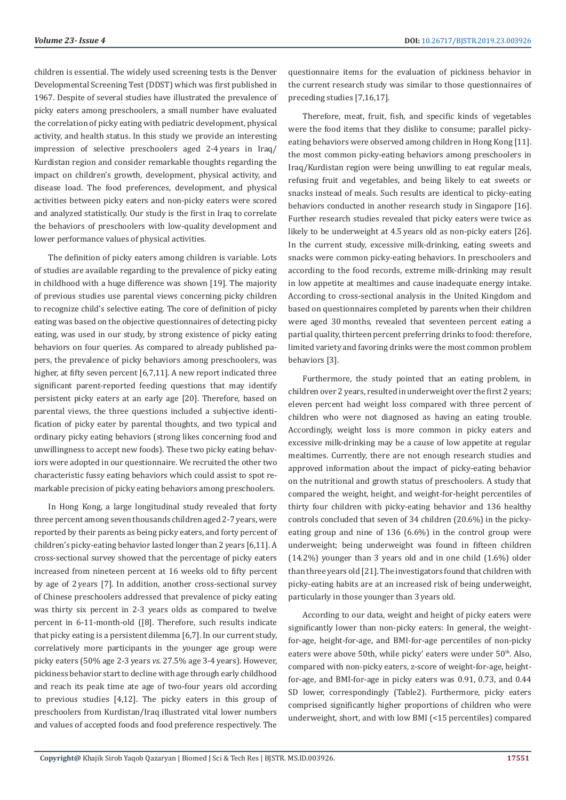children is essential. The widely used screening tests is the Denver Developmental Screening Test (DDST) which was first published in 1967. Despite of several studies have illustrated the prevalence of picky eaters among preschoolers, a small number have evaluated the correlation of picky eating with pediatric development, physical activity, and health status. In this study we provide an interesting impression of selective preschoolers aged 2-4 years in Iraq/ Kurdistan region and consider remarkable thoughts regarding the impact on children's growth, development, physical activity, and disease load. The food preferences, development, and physical activities between picky eaters and non-picky eaters were scored and analyzed statistically. Our study is the first in Iraq to correlate the behaviors of preschoolers with low-quality development and lower performance values of physical activities.

The definition of picky eaters among children is variable. Lots of studies are available regarding to the prevalence of picky eating in childhood with a huge difference was shown [19]. The majority of previous studies use parental views concerning picky children to recognize child's selective eating. The core of definition of picky eating was based on the objective questionnaires of detecting picky eating, was used in our study, by strong existence of picky eating behaviors on four queries. As compared to already published papers, the prevalence of picky behaviors among preschoolers, was higher, at fifty seven percent [6,7,11]. A new report indicated three significant parent-reported feeding questions that may identify persistent picky eaters at an early age [20]. Therefore, based on parental views, the three questions included a subjective identification of picky eater by parental thoughts, and two typical and ordinary picky eating behaviors (strong likes concerning food and unwillingness to accept new foods). These two picky eating behaviors were adopted in our questionnaire. We recruited the other two characteristic fussy eating behaviors which could assist to spot remarkable precision of picky eating behaviors among preschoolers.

In Hong Kong, a large longitudinal study revealed that forty three percent among seven thousands children aged 2-7 years, were reported by their parents as being picky eaters, and forty percent of children's picky-eating behavior lasted longer than 2 years [6,11]. A cross-sectional survey showed that the percentage of picky eaters increased from nineteen percent at 16 weeks old to fifty percent by age of 2 years [7]. In addition, another cross-sectional survey of Chinese preschoolers addressed that prevalence of picky eating was thirty six percent in 2-3 years olds as compared to twelve percent in 6-11-month-old ([8]. Therefore, such results indicate that picky eating is a persistent dilemma [6,7]. In our current study, correlatively more participants in the younger age group were picky eaters (50% age 2-3 years *vs*. 27.5% age 3-4 years). However, pickiness behavior start to decline with age through early childhood and reach its peak time ate age of two-four years old according to previous studies [4,12]. The picky eaters in this group of preschoolers from Kurdistan/Iraq illustrated vital lower numbers and values of accepted foods and food preference respectively. The

questionnaire items for the evaluation of pickiness behavior in the current research study was similar to those questionnaires of preceding studies [7,16,17].

Therefore, meat, fruit, fish, and specific kinds of vegetables were the food items that they dislike to consume; parallel pickyeating behaviors were observed among children in Hong Kong [11]. the most common picky-eating behaviors among preschoolers in Iraq/Kurdistan region were being unwilling to eat regular meals, refusing fruit and vegetables, and being likely to eat sweets or snacks instead of meals. Such results are identical to picky-eating behaviors conducted in another research study in Singapore [16]. Further research studies revealed that picky eaters were twice as likely to be underweight at 4.5 years old as non-picky eaters [26]. In the current study, excessive milk-drinking, eating sweets and snacks were common picky-eating behaviors. In preschoolers and according to the food records, extreme milk-drinking may result in low appetite at mealtimes and cause inadequate energy intake. According to cross-sectional analysis in the United Kingdom and based on questionnaires completed by parents when their children were aged 30 months, revealed that seventeen percent eating a partial quality, thirteen percent preferring drinks to food: therefore, limited variety and favoring drinks were the most common problem behaviors [3].

Furthermore, the study pointed that an eating problem, in children over 2 years, resulted in underweight over the first 2 years; eleven percent had weight loss compared with three percent of children who were not diagnosed as having an eating trouble. Accordingly, weight loss is more common in picky eaters and excessive milk-drinking may be a cause of low appetite at regular mealtimes. Currently, there are not enough research studies and approved information about the impact of picky-eating behavior on the nutritional and growth status of preschoolers. A study that compared the weight, height, and weight-for-height percentiles of thirty four children with picky-eating behavior and 136 healthy controls concluded that seven of 34 children (20.6%) in the pickyeating group and nine of 136 (6.6%) in the control group were underweight; being underweight was found in fifteen children (14.2%) younger than 3 years old and in one child (1.6%) older than three years old [21]. The investigators found that children with picky-eating habits are at an increased risk of being underweight, particularly in those younger than 3 years old.

According to our data, weight and height of picky eaters were significantly lower than non-picky eaters: In general, the weightfor-age, height-for-age, and BMI-for-age percentiles of non-picky eaters were above 50th, while picky' eaters were under 50<sup>th</sup>. Also, compared with non-picky eaters, z-score of weight-for-age, heightfor-age, and BMI-for-age in picky eaters was 0.91, 0.73, and 0.44 SD lower, correspondingly (Table2). Furthermore, picky eaters comprised significantly higher proportions of children who were underweight, short, and with low BMI (<15 percentiles) compared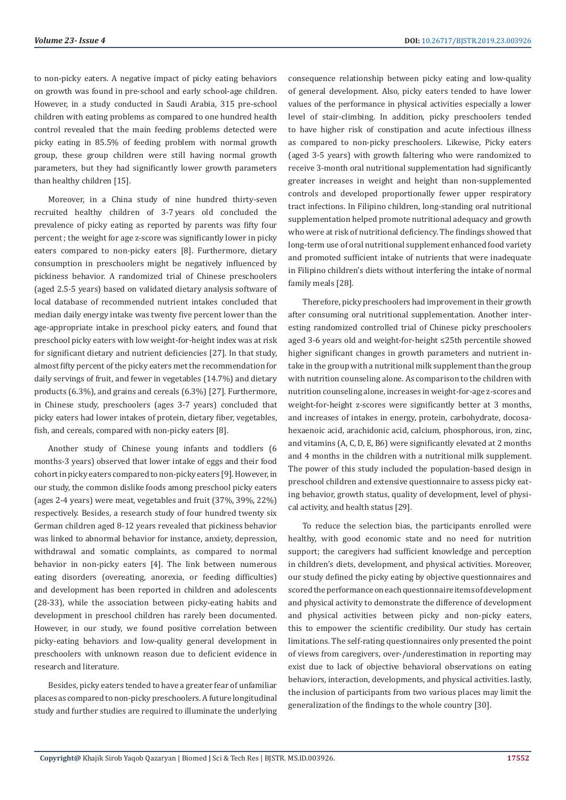to non-picky eaters. A negative impact of picky eating behaviors on growth was found in pre-school and early school-age children. However, in a study conducted in Saudi Arabia, 315 pre-school children with eating problems as compared to one hundred health control revealed that the main feeding problems detected were picky eating in 85.5% of feeding problem with normal growth group, these group children were still having normal growth parameters, but they had significantly lower growth parameters than healthy children [15].

Moreover, in a China study of nine hundred thirty-seven recruited healthy children of 3-7 years old concluded the prevalence of picky eating as reported by parents was fifty four percent ; the weight for age z-score was significantly lower in picky eaters compared to non-picky eaters [8]. Furthermore, dietary consumption in preschoolers might be negatively influenced by pickiness behavior. A randomized trial of Chinese preschoolers (aged 2.5-5 years) based on validated dietary analysis software of local database of recommended nutrient intakes concluded that median daily energy intake was twenty five percent lower than the age-appropriate intake in preschool picky eaters, and found that preschool picky eaters with low weight-for-height index was at risk for significant dietary and nutrient deficiencies [27]. In that study, almost fifty percent of the picky eaters met the recommendation for daily servings of fruit, and fewer in vegetables (14.7%) and dietary products (6.3%), and grains and cereals (6.3%) [27]. Furthermore, in Chinese study, preschoolers (ages 3-7 years) concluded that picky eaters had lower intakes of protein, dietary fiber, vegetables, fish, and cereals, compared with non-picky eaters [8].

Another study of Chinese young infants and toddlers (6 months-3 years) observed that lower intake of eggs and their food cohort in picky eaters compared to non-picky eaters [9]. However, in our study, the common dislike foods among preschool picky eaters (ages 2-4 years) were meat, vegetables and fruit (37%, 39%, 22%) respectively. Besides, a research study of four hundred twenty six German children aged 8-12 years revealed that pickiness behavior was linked to abnormal behavior for instance, anxiety, depression, withdrawal and somatic complaints, as compared to normal behavior in non-picky eaters [4]. The link between numerous eating disorders (overeating, anorexia, or feeding difficulties) and development has been reported in children and adolescents (28-33), while the association between picky-eating habits and development in preschool children has rarely been documented. However, in our study, we found positive correlation between picky-eating behaviors and low-quality general development in preschoolers with unknown reason due to deficient evidence in research and literature.

Besides, picky eaters tended to have a greater fear of unfamiliar places as compared to non-picky preschoolers. A future longitudinal study and further studies are required to illuminate the underlying consequence relationship between picky eating and low-quality of general development. Also, picky eaters tended to have lower values of the performance in physical activities especially a lower level of stair-climbing. In addition, picky preschoolers tended to have higher risk of constipation and acute infectious illness as compared to non-picky preschoolers. Likewise, Picky eaters (aged 3-5 years) with growth faltering who were randomized to receive 3-month oral nutritional supplementation had significantly greater increases in weight and height than non-supplemented controls and developed proportionally fewer upper respiratory tract infections. In Filipino children, long-standing oral nutritional supplementation helped promote nutritional adequacy and growth who were at risk of nutritional deficiency. The findings showed that long-term use of oral nutritional supplement enhanced food variety and promoted sufficient intake of nutrients that were inadequate in Filipino children's diets without interfering the intake of normal family meals [28].

Therefore, picky preschoolers had improvement in their growth after consuming oral nutritional supplementation. Another interesting randomized controlled trial of Chinese picky preschoolers aged 3-6 years old and weight-for-height ≤25th percentile showed higher significant changes in growth parameters and nutrient intake in the group with a nutritional milk supplement than the group with nutrition counseling alone. As comparison to the children with nutrition counseling alone, increases in weight-for-age z-scores and weight-for-height z-scores were significantly better at 3 months, and increases of intakes in energy, protein, carbohydrate, docosahexaenoic acid, arachidonic acid, calcium, phosphorous, iron, zinc, and vitamins (A, C, D, E, B6) were significantly elevated at 2 months and 4 months in the children with a nutritional milk supplement. The power of this study included the population-based design in preschool children and extensive questionnaire to assess picky eating behavior, growth status, quality of development, level of physical activity, and health status [29].

To reduce the selection bias, the participants enrolled were healthy, with good economic state and no need for nutrition support; the caregivers had sufficient knowledge and perception in children's diets, development, and physical activities. Moreover, our study defined the picky eating by objective questionnaires and scored the performance on each questionnaire items of development and physical activity to demonstrate the difference of development and physical activities between picky and non-picky eaters, this to empower the scientific credibility. Our study has certain limitations. The self-rating questionnaires only presented the point of views from caregivers, over-/underestimation in reporting may exist due to lack of objective behavioral observations on eating behaviors, interaction, developments, and physical activities. lastly, the inclusion of participants from two various places may limit the generalization of the findings to the whole country [30].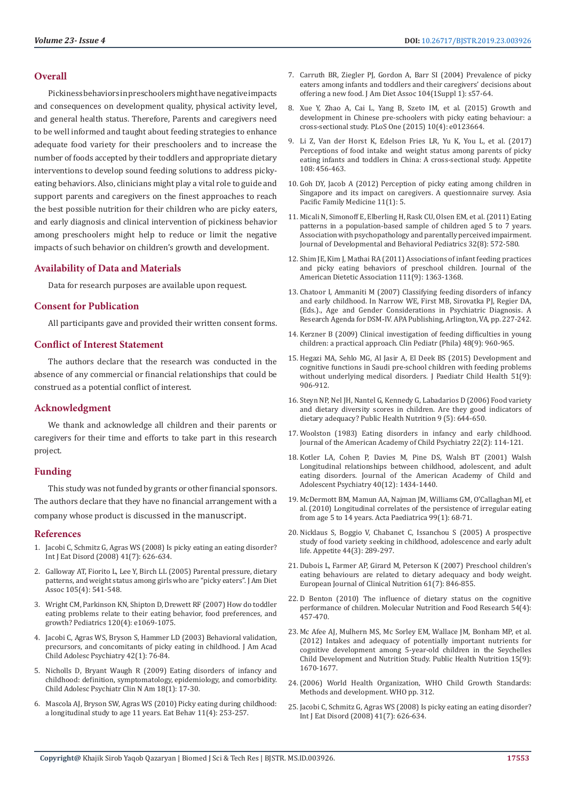# **Overall**

Pickiness behaviors in preschoolers might have negative impacts and consequences on development quality, physical activity level, and general health status. Therefore, Parents and caregivers need to be well informed and taught about feeding strategies to enhance adequate food variety for their preschoolers and to increase the number of foods accepted by their toddlers and appropriate dietary interventions to develop sound feeding solutions to address pickyeating behaviors. Also, clinicians might play a vital role to guide and support parents and caregivers on the finest approaches to reach the best possible nutrition for their children who are picky eaters, and early diagnosis and clinical intervention of pickiness behavior among preschoolers might help to reduce or limit the negative impacts of such behavior on children's growth and development.

# **Availability of Data and Materials**

Data for research purposes are available upon request.

# **Consent for Publication**

All participants gave and provided their written consent forms.

# **Conflict of Interest Statement**

The authors declare that the research was conducted in the absence of any commercial or financial relationships that could be construed as a potential conflict of interest.

#### **Acknowledgment**

We thank and acknowledge all children and their parents or caregivers for their time and efforts to take part in this research project.

#### **Funding**

This study was not funded by grants or other financial sponsors. The authors declare that they have no financial arrangement with a company whose product is discussed in the manuscript.

# **References**

- 1. [Jacobi C, Schmitz G, Agras WS \(2008\) Is picky eating an eating disorder?](https://www.ncbi.nlm.nih.gov/pubmed/18454484)  [Int J Eat Disord \(2008\) 41\(7\): 626-634.](https://www.ncbi.nlm.nih.gov/pubmed/18454484)
- 2. [Galloway AT, Fiorito L, Lee Y, Birch LL \(2005\) Parental pressure, dietary](https://www.ncbi.nlm.nih.gov/pmc/articles/PMC2530930/)  [patterns, and weight status among girls who are "picky eaters". J Am Diet](https://www.ncbi.nlm.nih.gov/pmc/articles/PMC2530930/)  [Assoc 105\(4\): 541-548.](https://www.ncbi.nlm.nih.gov/pmc/articles/PMC2530930/)
- 3. [Wright CM, Parkinson KN, Shipton D, Drewett RF \(2007\) How do toddler](https://www.ncbi.nlm.nih.gov/pubmed/17908727)  [eating problems relate to their eating behavior, food preferences, and](https://www.ncbi.nlm.nih.gov/pubmed/17908727)  [growth? Pediatrics 120\(4\): e1069-1075.](https://www.ncbi.nlm.nih.gov/pubmed/17908727)
- 4. [Jacobi C, Agras WS, Bryson S, Hammer LD \(2003\) Behavioral validation,](https://www.ncbi.nlm.nih.gov/pubmed/12500079)  [precursors, and concomitants of picky eating in childhood. J Am Acad](https://www.ncbi.nlm.nih.gov/pubmed/12500079)  [Child Adolesc Psychiatry 42\(1\): 76-84.](https://www.ncbi.nlm.nih.gov/pubmed/12500079)
- 5. [Nicholls D, Bryant Waugh R \(2009\) Eating disorders of infancy and](https://www.ncbi.nlm.nih.gov/pubmed/19014855)  [childhood: definition, symptomatology, epidemiology, and comorbidity.](https://www.ncbi.nlm.nih.gov/pubmed/19014855)  [Child Adolesc Psychiatr Clin N Am 18\(1\): 17-30.](https://www.ncbi.nlm.nih.gov/pubmed/19014855)
- 6. [Mascola AJ, Bryson SW, Agras WS \(2010\) Picky eating during childhood:](https://www.ncbi.nlm.nih.gov/pubmed/20850060)  [a longitudinal study to age 11 years. Eat Behav 11\(4\): 253-257.](https://www.ncbi.nlm.nih.gov/pubmed/20850060)
- 7. [Carruth BR, Ziegler PJ, Gordon A, Barr SI \(2004\) Prevalence of picky](https://www.ncbi.nlm.nih.gov/pubmed/14702019) [eaters among infants and toddlers and their caregivers' decisions about](https://www.ncbi.nlm.nih.gov/pubmed/14702019) [offering a new food. J Am Diet Assoc 104\(1Suppl 1\): s57-64.](https://www.ncbi.nlm.nih.gov/pubmed/14702019)
- 8. [Xue Y, Zhao A, Cai L, Yang B, Szeto IM, et al. \(2015\) Growth and](https://www.ncbi.nlm.nih.gov/pmc/articles/PMC4395402/) [development in Chinese pre-schoolers with picky eating behaviour: a](https://www.ncbi.nlm.nih.gov/pmc/articles/PMC4395402/) [cross-sectional study. PLoS One \(2015\) 10\(4\): e0123664.](https://www.ncbi.nlm.nih.gov/pmc/articles/PMC4395402/)
- 9. [Li Z, Van der Horst K, Edelson Fries LR, Yu K, You L, et al. \(2017\)](https://www.ncbi.nlm.nih.gov/pubmed/27825943) [Perceptions of food intake and weight status among parents of picky](https://www.ncbi.nlm.nih.gov/pubmed/27825943) [eating infants and toddlers in China: A cross-sectional study. Appetite](https://www.ncbi.nlm.nih.gov/pubmed/27825943) [108: 456-463.](https://www.ncbi.nlm.nih.gov/pubmed/27825943)
- 10. [Goh DY, Jacob A \(2012\) Perception of picky eating among children in](https://www.ncbi.nlm.nih.gov/pubmed/22816553) [Singapore and its impact on caregivers. A questionnaire survey. Asia](https://www.ncbi.nlm.nih.gov/pubmed/22816553) [Pacific Family Medicine 11\(1\): 5.](https://www.ncbi.nlm.nih.gov/pubmed/22816553)
- 11. [Micali N, Simonoff E, Elberling H, Rask CU, Olsen EM, et al. \(2011\) Eating](https://www.ncbi.nlm.nih.gov/pubmed/21918471) [patterns in a population-based sample of children aged 5 to 7 years.](https://www.ncbi.nlm.nih.gov/pubmed/21918471) [Association with psychopathology and parentally perceived impairment.](https://www.ncbi.nlm.nih.gov/pubmed/21918471) [Journal of Developmental and Behavioral Pediatrics 32\(8\): 572-580.](https://www.ncbi.nlm.nih.gov/pubmed/21918471)
- 12. [Shim JE, Kim J, Mathai RA \(2011\) Associations of infant feeding practices](https://www.ncbi.nlm.nih.gov/pubmed/21872699) [and picky eating behaviors of preschool children. Journal of the](https://www.ncbi.nlm.nih.gov/pubmed/21872699) [American Dietetic Association 111\(9\): 1363-1368.](https://www.ncbi.nlm.nih.gov/pubmed/21872699)
- 13. Chatoor I, Ammaniti M (2007) Classifying feeding disorders of infancy and early childhood. In Narrow WE, First MB, Sirovatka PJ, Regier DA, (Eds.)., Age and Gender Considerations in Psychiatric Diagnosis. A Research Agenda for DSM-IV. APA Publishing, Arlington, VA, pp. 227-242.
- 14. [Kerzner B \(2009\) Clinical investigation of feeding difficulties in young](https://www.ncbi.nlm.nih.gov/pubmed/19605866) [children: a practical approach. Clin Pediatr \(Phila\) 48\(9\): 960-965.](https://www.ncbi.nlm.nih.gov/pubmed/19605866)
- 15. [Hegazi MA, Sehlo MG, Al Jasir A, El Deek BS \(2015\) Development and](https://www.ncbi.nlm.nih.gov/pubmed/25872702) [cognitive functions in Saudi pre-school children with feeding problems](https://www.ncbi.nlm.nih.gov/pubmed/25872702) [without underlying medical disorders. J Paediatr Child Health 51\(9\):](https://www.ncbi.nlm.nih.gov/pubmed/25872702) [906-912.](https://www.ncbi.nlm.nih.gov/pubmed/25872702)
- 16. [Steyn NP, Nel JH, Nantel G, Kennedy G, Labadarios D \(2006\) Food variety](https://www.ncbi.nlm.nih.gov/pubmed/16923296) [and dietary diversity scores in children. Are they good indicators of](https://www.ncbi.nlm.nih.gov/pubmed/16923296) [dietary adequacy? Public Health Nutrition 9 \(5\): 644-650.](https://www.ncbi.nlm.nih.gov/pubmed/16923296)
- 17. [Woolston \(1983\) Eating disorders in infancy and early childhood.](https://www.jaacap.org/article/S0002-7138(09)62322-0/fulltext) [Journal of the American Academy of Child Psychiatry 22\(2\): 114-121.](https://www.jaacap.org/article/S0002-7138(09)62322-0/fulltext)
- 18. [Kotler LA, Cohen P, Davies M, Pine DS, Walsh BT \(2001\) Walsh](https://www.ncbi.nlm.nih.gov/pubmed/11765289) [Longitudinal relationships between childhood, adolescent, and adult](https://www.ncbi.nlm.nih.gov/pubmed/11765289) [eating disorders. Journal of the American Academy of Child and](https://www.ncbi.nlm.nih.gov/pubmed/11765289) [Adolescent Psychiatry 40\(12\): 1434-1440.](https://www.ncbi.nlm.nih.gov/pubmed/11765289)
- 19. [McDermott BM, Mamun AA, Najman JM, Williams GM, O'Callaghan MJ, et](https://www.ncbi.nlm.nih.gov/pubmed/19811457) [al. \(2010\) Longitudinal correlates of the persistence of irregular eating](https://www.ncbi.nlm.nih.gov/pubmed/19811457) [from age 5 to 14 years. Acta Paediatrica 99\(1\): 68-71.](https://www.ncbi.nlm.nih.gov/pubmed/19811457)
- 20. [Nicklaus S, Boggio V, Chabanet C, Issanchou S \(2005\) A prospective](https://www.ncbi.nlm.nih.gov/pubmed/15927730) [study of food variety seeking in childhood, adolescence and early adult](https://www.ncbi.nlm.nih.gov/pubmed/15927730) [life. Appetite 44\(3\): 289-297.](https://www.ncbi.nlm.nih.gov/pubmed/15927730)
- 21. [Dubois L, Farmer AP, Girard M, Peterson K \(2007\) Preschool children's](https://www.ncbi.nlm.nih.gov/pubmed/17180152https:/www.ncbi.nlm.nih.gov/pubmed/17180152) [eating behaviours are related to dietary adequacy and body weight.](https://www.ncbi.nlm.nih.gov/pubmed/17180152https:/www.ncbi.nlm.nih.gov/pubmed/17180152) [European Journal of Clinical Nutrition 61\(7\): 846-855.](https://www.ncbi.nlm.nih.gov/pubmed/17180152https:/www.ncbi.nlm.nih.gov/pubmed/17180152)
- 22. [D Benton \(2010\) The influence of dietary status on the cognitive](https://www.ncbi.nlm.nih.gov/pubmed/20077417) [performance of children. Molecular Nutrition and Food Research 54\(4\):](https://www.ncbi.nlm.nih.gov/pubmed/20077417) [457-470.](https://www.ncbi.nlm.nih.gov/pubmed/20077417)
- 23. [Mc Afee AJ, Mulhern MS, Mc Sorley EM, Wallace JM, Bonham MP, et al.](https://www.ncbi.nlm.nih.gov/pubmed/22321870) [\(2012\) Intakes and adequacy of potentially important nutrients for](https://www.ncbi.nlm.nih.gov/pubmed/22321870) [cognitive development among 5-year-old children in the Seychelles](https://www.ncbi.nlm.nih.gov/pubmed/22321870) [Child Development and Nutrition Study. Public Health Nutrition 15\(9\):](https://www.ncbi.nlm.nih.gov/pubmed/22321870) [1670-1677.](https://www.ncbi.nlm.nih.gov/pubmed/22321870)
- 24.[\(2006\) World Health Organization, WHO Child Growth Standards:](https://www.who.int/childgrowth/standards/technical_report/en/) [Methods and development. WHO pp. 312.](https://www.who.int/childgrowth/standards/technical_report/en/)
- 25. [Jacobi C, Schmitz G, Agras WS \(2008\) Is picky eating an eating disorder?](https://www.ncbi.nlm.nih.gov/pubmed/18454484) [Int J Eat Disord \(2008\) 41\(7\): 626-634.](https://www.ncbi.nlm.nih.gov/pubmed/18454484)